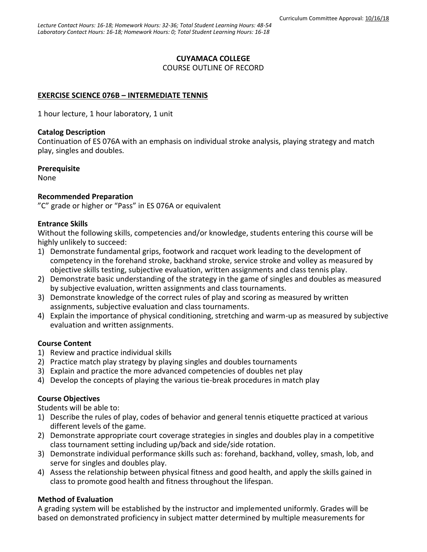### **CUYAMACA COLLEGE**

COURSE OUTLINE OF RECORD

## **EXERCISE SCIENCE 076B – INTERMEDIATE TENNIS**

1 hour lecture, 1 hour laboratory, 1 unit

### **Catalog Description**

Continuation of ES 076A with an emphasis on individual stroke analysis, playing strategy and match play, singles and doubles.

### **Prerequisite**

None

### **Recommended Preparation**

"C" grade or higher or "Pass" in ES 076A or equivalent

### **Entrance Skills**

Without the following skills, competencies and/or knowledge, students entering this course will be highly unlikely to succeed:

- 1) Demonstrate fundamental grips, footwork and racquet work leading to the development of competency in the forehand stroke, backhand stroke, service stroke and volley as measured by objective skills testing, subjective evaluation, written assignments and class tennis play.
- 2) Demonstrate basic understanding of the strategy in the game of singles and doubles as measured by subjective evaluation, written assignments and class tournaments.
- 3) Demonstrate knowledge of the correct rules of play and scoring as measured by written assignments, subjective evaluation and class tournaments.
- 4) Explain the importance of physical conditioning, stretching and warm-up as measured by subjective evaluation and written assignments.

### **Course Content**

- 1) Review and practice individual skills
- 2) Practice match play strategy by playing singles and doubles tournaments
- 3) Explain and practice the more advanced competencies of doubles net play
- 4) Develop the concepts of playing the various tie-break procedures in match play

### **Course Objectives**

Students will be able to:

- 1) Describe the rules of play, codes of behavior and general tennis etiquette practiced at various different levels of the game.
- 2) Demonstrate appropriate court coverage strategies in singles and doubles play in a competitive class tournament setting including up/back and side/side rotation.
- 3) Demonstrate individual performance skills such as: forehand, backhand, volley, smash, lob, and serve for singles and doubles play.
- 4) Assess the relationship between physical fitness and good health, and apply the skills gained in class to promote good health and fitness throughout the lifespan.

## **Method of Evaluation**

A grading system will be established by the instructor and implemented uniformly. Grades will be based on demonstrated proficiency in subject matter determined by multiple measurements for